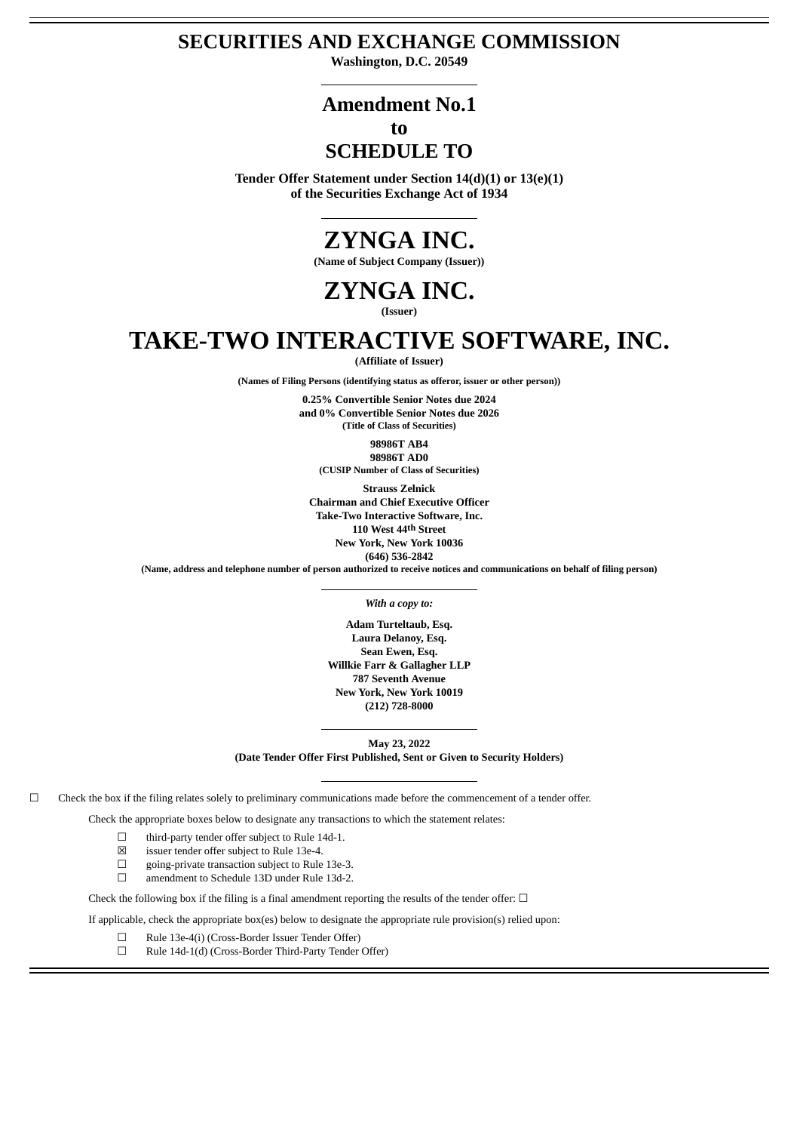# **SECURITIES AND EXCHANGE COMMISSION**

**Washington, D.C. 20549**

# **Amendment No.1**

# **to**

# **SCHEDULE TO**

**Tender Offer Statement under Section 14(d)(1) or 13(e)(1) of the Securities Exchange Act of 1934**

# **ZYNGA INC.**

**(Name of Subject Company (Issuer))**

# **ZYNGA INC.**

**(Issuer)**

# **TAKE-TWO INTERACTIVE SOFTWARE, INC.**

**(Affiliate of Issuer)**

**(Names of Filing Persons (identifying status as offeror, issuer or other person))**

**0.25% Convertible Senior Notes due 2024 and 0% Convertible Senior Notes due 2026 (Title of Class of Securities)**

**98986T AB4 98986T AD0 (CUSIP Number of Class of Securities)**

**Strauss Zelnick Chairman and Chief Executive Officer Take-Two Interactive Software, Inc. 110 West 44th Street New York, New York 10036 (646) 536-2842**

(Name, address and telephone number of person authorized to receive notices and communications on behalf of filing person)

*With a copy to:*

**Adam Turteltaub, Esq. Laura Delanoy, Esq. Sean Ewen, Esq. Willkie Farr & Gallagher LLP 787 Seventh Avenue New York, New York 10019 (212) 728-8000**

**May 23, 2022 (Date Tender Offer First Published, Sent or Given to Security Holders)**

 $□$  Check the box if the filing relates solely to preliminary communications made before the commencement of a tender offer.

Check the appropriate boxes below to designate any transactions to which the statement relates:

- ☐ third-party tender offer subject to Rule 14d-1.
- ☒ issuer tender offer subject to Rule 13e-4.
- ☐ going-private transaction subject to Rule 13e-3.
- ☐ amendment to Schedule 13D under Rule 13d-2.

Check the following box if the filing is a final amendment reporting the results of the tender offer:  $\Box$ 

If applicable, check the appropriate box(es) below to designate the appropriate rule provision(s) relied upon:

☐ Rule 13e-4(i) (Cross-Border Issuer Tender Offer)

☐ Rule 14d-1(d) (Cross-Border Third-Party Tender Offer)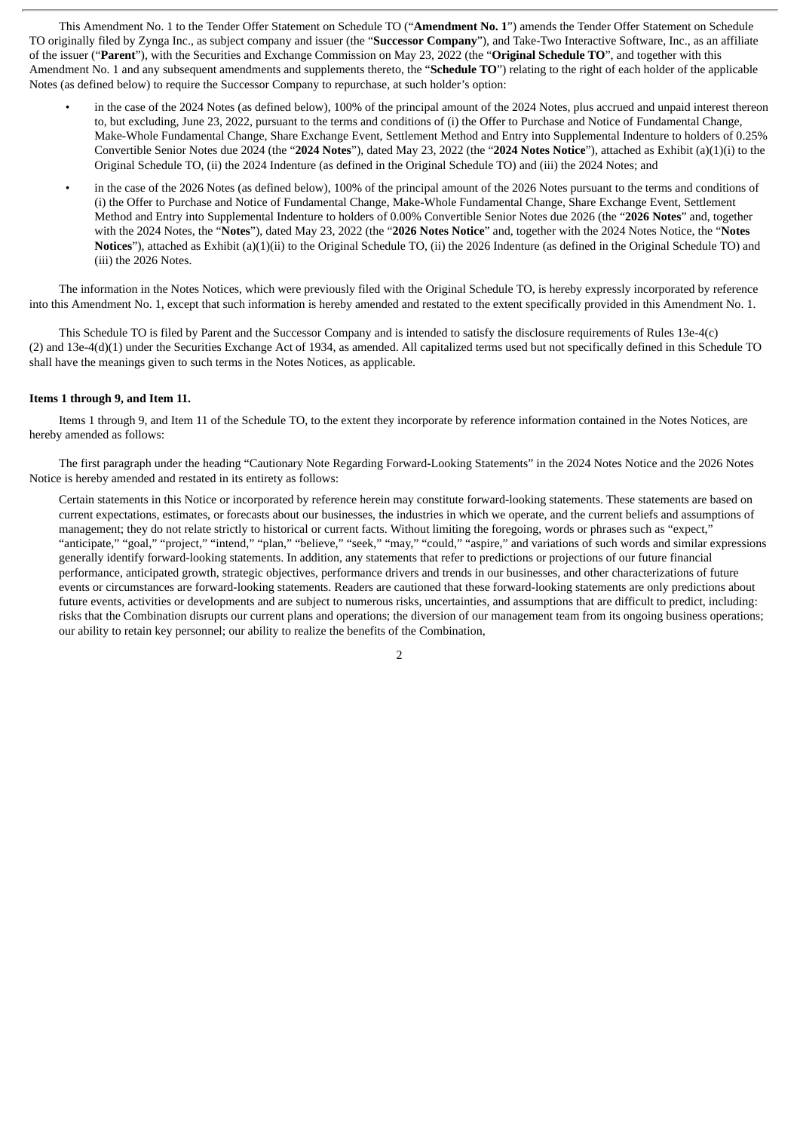This Amendment No. 1 to the Tender Offer Statement on Schedule TO ("**Amendment No. 1**") amends the Tender Offer Statement on Schedule TO originally filed by Zynga Inc., as subject company and issuer (the "**Successor Company**"), and Take-Two Interactive Software, Inc., as an affiliate of the issuer ("**Parent**"), with the Securities and Exchange Commission on May 23, 2022 (the "**Original Schedule TO**", and together with this Amendment No. 1 and any subsequent amendments and supplements thereto, the "**Schedule TO**") relating to the right of each holder of the applicable Notes (as defined below) to require the Successor Company to repurchase, at such holder's option:

- in the case of the 2024 Notes (as defined below), 100% of the principal amount of the 2024 Notes, plus accrued and unpaid interest thereon to, but excluding, June 23, 2022, pursuant to the terms and conditions of (i) the Offer to Purchase and Notice of Fundamental Change, Make-Whole Fundamental Change, Share Exchange Event, Settlement Method and Entry into Supplemental Indenture to holders of 0.25% Convertible Senior Notes due 2024 (the "**2024 Notes**"), dated May 23, 2022 (the "**2024 Notes Notice**"), attached as Exhibit (a)(1)(i) to the Original Schedule TO, (ii) the 2024 Indenture (as defined in the Original Schedule TO) and (iii) the 2024 Notes; and
- in the case of the 2026 Notes (as defined below), 100% of the principal amount of the 2026 Notes pursuant to the terms and conditions of (i) the Offer to Purchase and Notice of Fundamental Change, Make-Whole Fundamental Change, Share Exchange Event, Settlement Method and Entry into Supplemental Indenture to holders of 0.00% Convertible Senior Notes due 2026 (the "**2026 Notes**" and, together with the 2024 Notes, the "**Notes**"), dated May 23, 2022 (the "**2026 Notes Notice**" and, together with the 2024 Notes Notice, the "**Notes Notices**"), attached as Exhibit (a)(1)(ii) to the Original Schedule TO, (ii) the 2026 Indenture (as defined in the Original Schedule TO) and (iii) the 2026 Notes.

The information in the Notes Notices, which were previously filed with the Original Schedule TO, is hereby expressly incorporated by reference into this Amendment No. 1, except that such information is hereby amended and restated to the extent specifically provided in this Amendment No. 1.

This Schedule TO is filed by Parent and the Successor Company and is intended to satisfy the disclosure requirements of Rules 13e-4(c) (2) and 13e-4(d)(1) under the Securities Exchange Act of 1934, as amended. All capitalized terms used but not specifically defined in this Schedule TO shall have the meanings given to such terms in the Notes Notices, as applicable.

#### **Items 1 through 9, and Item 11.**

Items 1 through 9, and Item 11 of the Schedule TO, to the extent they incorporate by reference information contained in the Notes Notices, are hereby amended as follows:

The first paragraph under the heading "Cautionary Note Regarding Forward-Looking Statements" in the 2024 Notes Notice and the 2026 Notes Notice is hereby amended and restated in its entirety as follows:

Certain statements in this Notice or incorporated by reference herein may constitute forward-looking statements. These statements are based on current expectations, estimates, or forecasts about our businesses, the industries in which we operate, and the current beliefs and assumptions of management; they do not relate strictly to historical or current facts. Without limiting the foregoing, words or phrases such as "expect," "anticipate," "goal," "project," "intend," "plan," "believe," "seek," "may," "could," "aspire," and variations of such words and similar expressions generally identify forward-looking statements. In addition, any statements that refer to predictions or projections of our future financial performance, anticipated growth, strategic objectives, performance drivers and trends in our businesses, and other characterizations of future events or circumstances are forward-looking statements. Readers are cautioned that these forward-looking statements are only predictions about future events, activities or developments and are subject to numerous risks, uncertainties, and assumptions that are difficult to predict, including: risks that the Combination disrupts our current plans and operations; the diversion of our management team from its ongoing business operations; our ability to retain key personnel; our ability to realize the benefits of the Combination,

2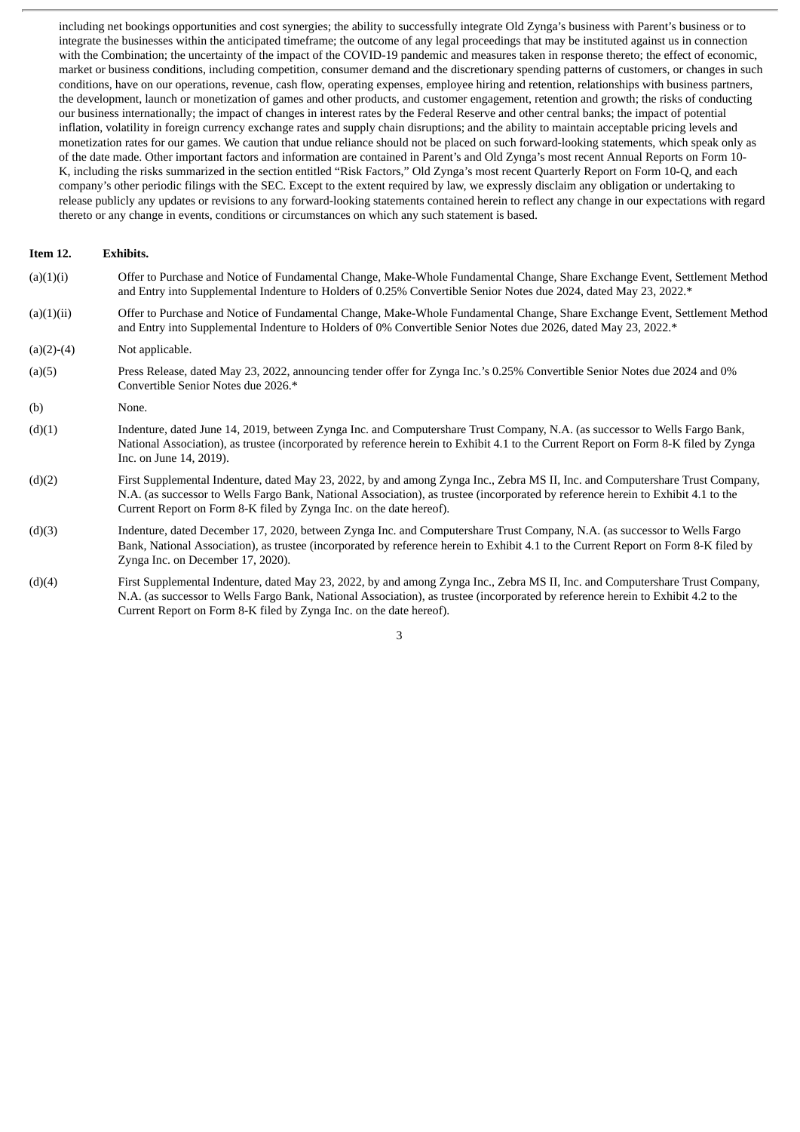including net bookings opportunities and cost synergies; the ability to successfully integrate Old Zynga's business with Parent's business or to integrate the businesses within the anticipated timeframe; the outcome of any legal proceedings that may be instituted against us in connection with the Combination; the uncertainty of the impact of the COVID-19 pandemic and measures taken in response thereto; the effect of economic, market or business conditions, including competition, consumer demand and the discretionary spending patterns of customers, or changes in such conditions, have on our operations, revenue, cash flow, operating expenses, employee hiring and retention, relationships with business partners, the development, launch or monetization of games and other products, and customer engagement, retention and growth; the risks of conducting our business internationally; the impact of changes in interest rates by the Federal Reserve and other central banks; the impact of potential inflation, volatility in foreign currency exchange rates and supply chain disruptions; and the ability to maintain acceptable pricing levels and monetization rates for our games. We caution that undue reliance should not be placed on such forward-looking statements, which speak only as of the date made. Other important factors and information are contained in Parent's and Old Zynga's most recent Annual Reports on Form 10- K, including the risks summarized in the section entitled "Risk Factors," Old Zynga's most recent Quarterly Report on Form 10-Q, and each company's other periodic filings with the SEC. Except to the extent required by law, we expressly disclaim any obligation or undertaking to release publicly any updates or revisions to any forward-looking statements contained herein to reflect any change in our expectations with regard thereto or any change in events, conditions or circumstances on which any such statement is based.

#### **Item 12. Exhibits.**

- (a)(1)(i) Offer to Purchase and Notice of Fundamental Change, Make-Whole Fundamental Change, Share Exchange Event, Settlement Method and Entry into Supplemental Indenture to Holders of 0.25% Convertible Senior Notes due 2024, dated May 23, 2022.\*
- (a)(1)(ii) Offer to Purchase and Notice of Fundamental Change, Make-Whole Fundamental Change, Share Exchange Event, Settlement Method and Entry into Supplemental Indenture to Holders of 0% Convertible Senior Notes due 2026, dated May 23, 2022.\*
- $(a)(2)-(4)$  Not applicable.
- (a)(5) Press Release, dated May 23, 2022, announcing tender offer for Zynga Inc.'s 0.25% Convertible Senior Notes due 2024 and 0% Convertible Senior Notes due 2026.\*
- (b) None.
- (d)(1) Indenture, dated June 14, 2019, between Zynga Inc. and Computershare Trust Company, N.A. (as successor to Wells Fargo Bank, National Association), as trustee (incorporated by reference herein to Exhibit 4.1 to the Current Report on Form 8-K filed by Zynga Inc. on June 14, 2019).
- (d)(2) First Supplemental Indenture, dated May 23, 2022, by and among Zynga Inc., Zebra MS II, Inc. and Computershare Trust Company, N.A. (as successor to Wells Fargo Bank, National Association), as trustee (incorporated by reference herein to Exhibit 4.1 to the Current Report on Form 8-K filed by Zynga Inc. on the date hereof).
- (d)(3) Indenture, dated December 17, 2020, between Zynga Inc. and Computershare Trust Company, N.A. (as successor to Wells Fargo Bank, National Association), as trustee (incorporated by reference herein to Exhibit 4.1 to the Current Report on Form 8-K filed by Zynga Inc. on December 17, 2020).
- (d)(4) First Supplemental Indenture, dated May 23, 2022, by and among Zynga Inc., Zebra MS II, Inc. and Computershare Trust Company, N.A. (as successor to Wells Fargo Bank, National Association), as trustee (incorporated by reference herein to Exhibit 4.2 to the Current Report on Form 8-K filed by Zynga Inc. on the date hereof).

## 3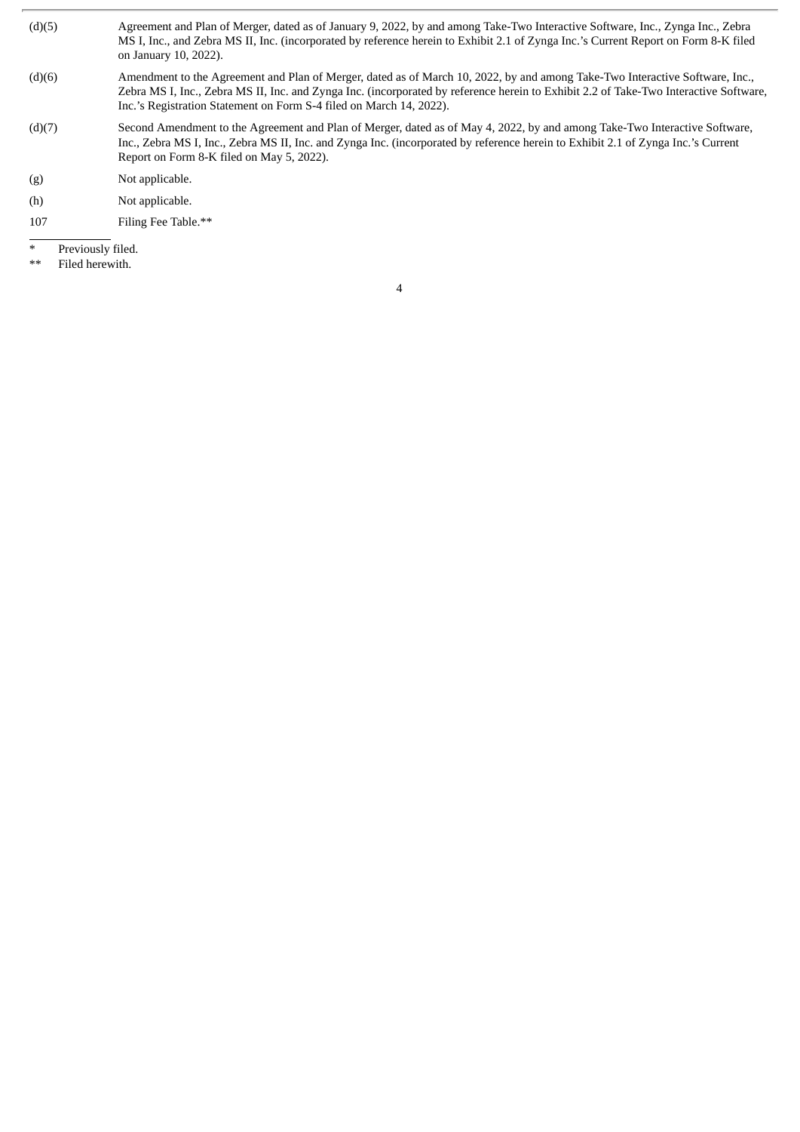- (d)(5) Agreement and Plan of Merger, dated as of January 9, 2022, by and among Take-Two Interactive Software, Inc., Zynga Inc., Zebra MS I, Inc., and Zebra MS II, Inc. (incorporated by reference herein to Exhibit 2.1 of Zynga Inc.'s Current Report on Form 8-K filed on January 10, 2022).
- (d)(6) Amendment to the Agreement and Plan of Merger, dated as of March 10, 2022, by and among Take-Two Interactive Software, Inc., Zebra MS I, Inc., Zebra MS II, Inc. and Zynga Inc. (incorporated by reference herein to Exhibit 2.2 of Take-Two Interactive Software, Inc.'s Registration Statement on Form S-4 filed on March 14, 2022).
- (d)(7) Second Amendment to the Agreement and Plan of Merger, dated as of May 4, 2022, by and among Take-Two Interactive Software, Inc., Zebra MS I, Inc., Zebra MS II, Inc. and Zynga Inc. (incorporated by reference herein to Exhibit 2.1 of Zynga Inc.'s Current Report on Form 8-K filed on May 5, 2022).
- (g) Not applicable.
- (h) Not applicable.
- 107 Filing Fee Table.\*\*
- Previously filed.
- \*\* Filed herewith.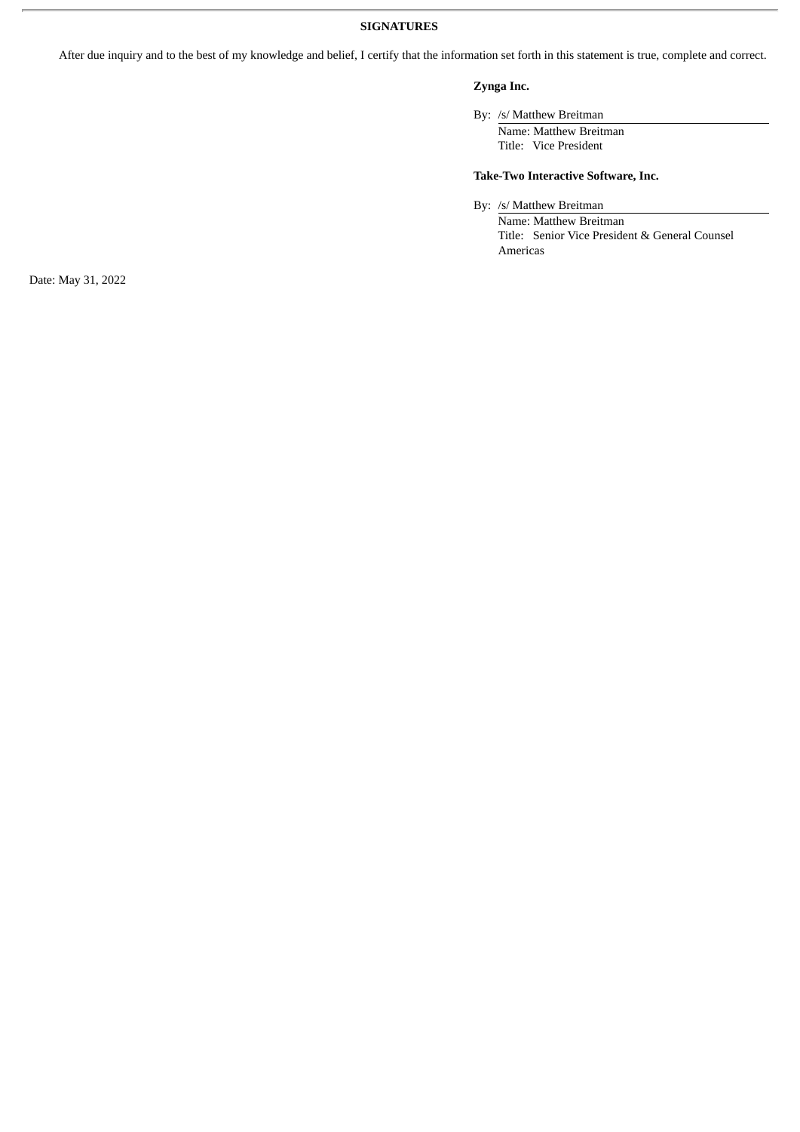## **SIGNATURES**

After due inquiry and to the best of my knowledge and belief, I certify that the information set forth in this statement is true, complete and correct.

## **Zynga Inc.**

# By: /s/ Matthew Breitman

Name: Matthew Breitman Title: Vice President

## **Take-Two Interactive Software, Inc.**

By: /s/ Matthew Breitman

Name: Matthew Breitman Title: Senior Vice President & General Counsel Americas

Date: May 31, 2022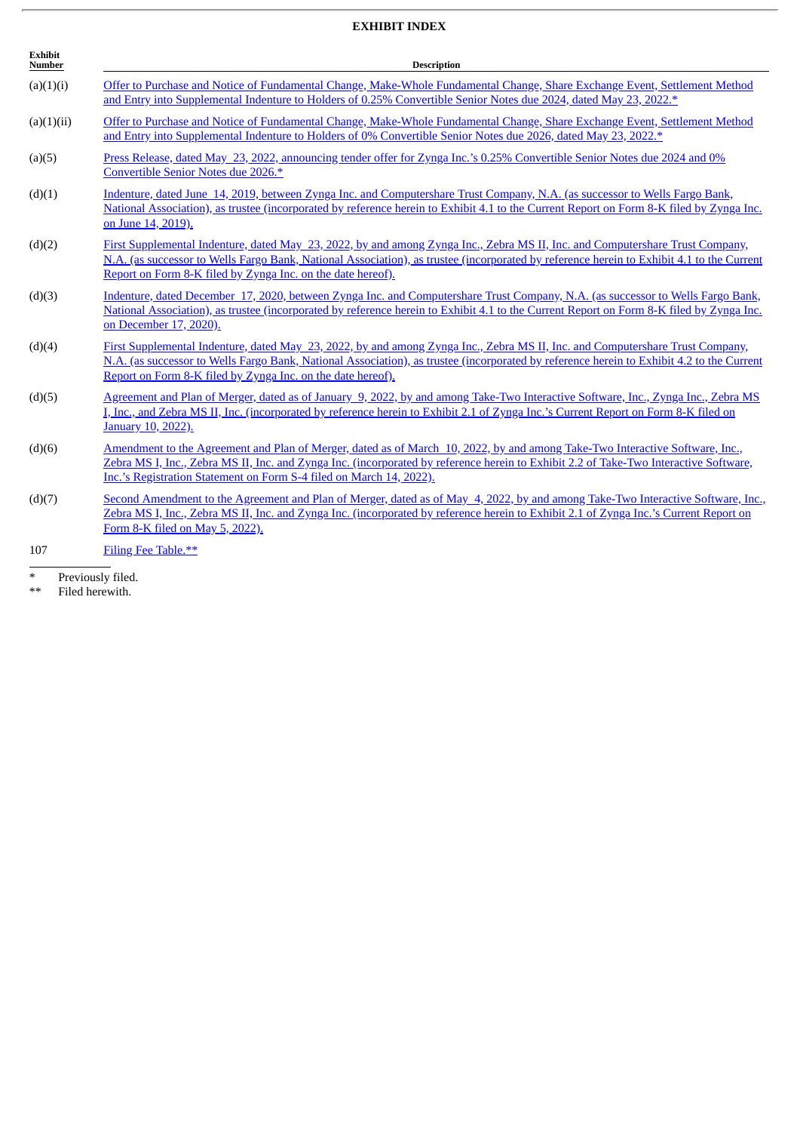# **EXHIBIT INDEX**

| <b>Exhibit</b><br>Number | <b>Description</b>                                                                                                                                                                                                                                                                                                                           |  |  |  |
|--------------------------|----------------------------------------------------------------------------------------------------------------------------------------------------------------------------------------------------------------------------------------------------------------------------------------------------------------------------------------------|--|--|--|
| (a)(1)(i)                | Offer to Purchase and Notice of Fundamental Change, Make-Whole Fundamental Change, Share Exchange Event, Settlement Method<br>and Entry into Supplemental Indenture to Holders of 0.25% Convertible Senior Notes due 2024, dated May 23, 2022.*                                                                                              |  |  |  |
| (a)(1)(ii)               | Offer to Purchase and Notice of Fundamental Change, Make-Whole Fundamental Change, Share Exchange Event, Settlement Method<br>and Entry into Supplemental Indenture to Holders of 0% Convertible Senior Notes due 2026, dated May 23, 2022.*                                                                                                 |  |  |  |
| (a)(5)                   | Press Release, dated May 23, 2022, announcing tender offer for Zynga Inc.'s 0.25% Convertible Senior Notes due 2024 and 0%<br>Convertible Senior Notes due 2026.*                                                                                                                                                                            |  |  |  |
| (d)(1)                   | Indenture, dated June 14, 2019, between Zynga Inc. and Computershare Trust Company, N.A. (as successor to Wells Fargo Bank,<br>National Association), as trustee (incorporated by reference herein to Exhibit 4.1 to the Current Report on Form 8-K filed by Zynga Inc.<br>on June 14, 2019).                                                |  |  |  |
| (d)(2)                   | First Supplemental Indenture, dated May 23, 2022, by and among Zynga Inc., Zebra MS II, Inc. and Computershare Trust Company,<br>N.A. (as successor to Wells Fargo Bank, National Association), as trustee (incorporated by reference herein to Exhibit 4.1 to the Current<br>Report on Form 8-K filed by Zynga Inc. on the date hereof).    |  |  |  |
| (d)(3)                   | Indenture, dated December 17, 2020, between Zynga Inc. and Computershare Trust Company, N.A. (as successor to Wells Fargo Bank,<br>National Association), as trustee (incorporated by reference herein to Exhibit 4.1 to the Current Report on Form 8-K filed by Zynga Inc.<br>on December 17, 2020).                                        |  |  |  |
| (d)(4)                   | First Supplemental Indenture, dated May 23, 2022, by and among Zynga Inc., Zebra MS II, Inc. and Computershare Trust Company,<br>N.A. (as successor to Wells Fargo Bank, National Association), as trustee (incorporated by reference herein to Exhibit 4.2 to the Current<br>Report on Form 8-K filed by Zynga Inc. on the date hereof).    |  |  |  |
| (d)(5)                   | Agreement and Plan of Merger, dated as of January 9, 2022, by and among Take-Two Interactive Software, Inc., Zynga Inc., Zebra MS<br>I, Inc., and Zebra MS II, Inc. (incorporated by reference herein to Exhibit 2.1 of Zynga Inc.'s Current Report on Form 8-K filed on<br>January 10, 2022).                                               |  |  |  |
| (d)(6)                   | Amendment to the Agreement and Plan of Merger, dated as of March 10, 2022, by and among Take-Two Interactive Software, Inc.,<br>Zebra MS I, Inc., Zebra MS II, Inc. and Zynga Inc. (incorporated by reference herein to Exhibit 2.2 of Take-Two Interactive Software,<br>Inc.'s Registration Statement on Form S-4 filed on March 14, 2022). |  |  |  |
| (d)(7)                   | Second Amendment to the Agreement and Plan of Merger, dated as of May 4, 2022, by and among Take-Two Interactive Software, Inc.,<br>Zebra MS I, Inc., Zebra MS II, Inc. and Zynga Inc. (incorporated by reference herein to Exhibit 2.1 of Zynga Inc.'s Current Report on<br>Form 8-K filed on May 5, 2022).                                 |  |  |  |
| 107                      | Filing Fee Table.**                                                                                                                                                                                                                                                                                                                          |  |  |  |

\* Previously filed.

\*\* Filed herewith.